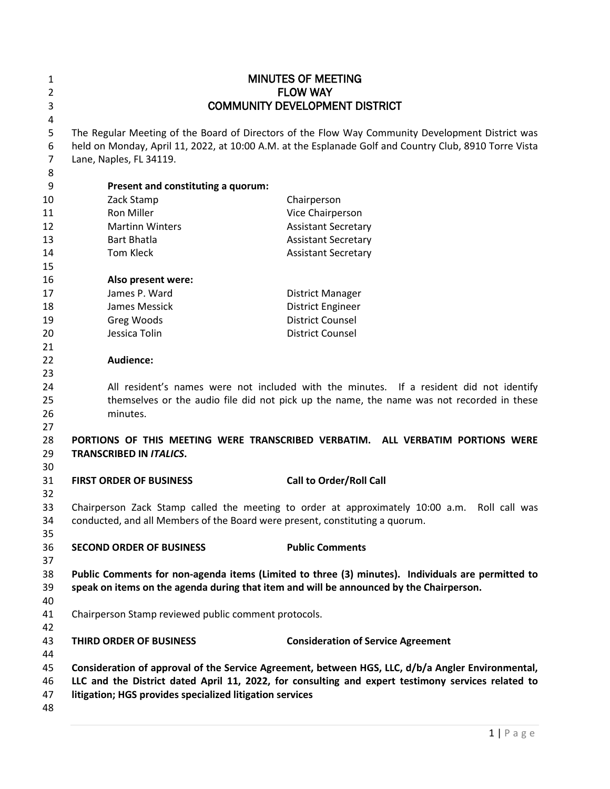| 1                        |                                                                              | <b>MINUTES OF MEETING</b>                                                                                                                                                                                  |
|--------------------------|------------------------------------------------------------------------------|------------------------------------------------------------------------------------------------------------------------------------------------------------------------------------------------------------|
| $\overline{2}$           |                                                                              | <b>FLOW WAY</b>                                                                                                                                                                                            |
| 3                        |                                                                              | <b>COMMUNITY DEVELOPMENT DISTRICT</b>                                                                                                                                                                      |
| 4                        |                                                                              |                                                                                                                                                                                                            |
| 5<br>6<br>$\overline{7}$ | Lane, Naples, FL 34119.                                                      | The Regular Meeting of the Board of Directors of the Flow Way Community Development District was<br>held on Monday, April 11, 2022, at 10:00 A.M. at the Esplanade Golf and Country Club, 8910 Torre Vista |
| 8                        |                                                                              |                                                                                                                                                                                                            |
| 9                        | Present and constituting a quorum:                                           |                                                                                                                                                                                                            |
| 10                       | Zack Stamp                                                                   | Chairperson                                                                                                                                                                                                |
| 11                       | Ron Miller                                                                   | Vice Chairperson                                                                                                                                                                                           |
| 12                       | <b>Martinn Winters</b>                                                       | <b>Assistant Secretary</b>                                                                                                                                                                                 |
| 13                       | <b>Bart Bhatla</b>                                                           | <b>Assistant Secretary</b>                                                                                                                                                                                 |
| 14                       | Tom Kleck                                                                    | <b>Assistant Secretary</b>                                                                                                                                                                                 |
| 15                       |                                                                              |                                                                                                                                                                                                            |
| 16                       | Also present were:                                                           |                                                                                                                                                                                                            |
| 17                       | James P. Ward                                                                | <b>District Manager</b>                                                                                                                                                                                    |
| 18                       | James Messick                                                                | <b>District Engineer</b>                                                                                                                                                                                   |
| 19                       | Greg Woods                                                                   | <b>District Counsel</b>                                                                                                                                                                                    |
| 20                       | Jessica Tolin                                                                | <b>District Counsel</b>                                                                                                                                                                                    |
| 21                       |                                                                              |                                                                                                                                                                                                            |
| 22                       | Audience:                                                                    |                                                                                                                                                                                                            |
| 23                       |                                                                              |                                                                                                                                                                                                            |
| 24                       |                                                                              | All resident's names were not included with the minutes. If a resident did not identify                                                                                                                    |
| 25                       |                                                                              | themselves or the audio file did not pick up the name, the name was not recorded in these                                                                                                                  |
| 26                       | minutes.                                                                     |                                                                                                                                                                                                            |
| 27                       |                                                                              |                                                                                                                                                                                                            |
| 28                       |                                                                              | PORTIONS OF THIS MEETING WERE TRANSCRIBED VERBATIM. ALL VERBATIM PORTIONS WERE                                                                                                                             |
| 29                       | <b>TRANSCRIBED IN ITALICS.</b>                                               |                                                                                                                                                                                                            |
| 30                       |                                                                              |                                                                                                                                                                                                            |
| 31                       | <b>FIRST ORDER OF BUSINESS</b>                                               | <b>Call to Order/Roll Call</b>                                                                                                                                                                             |
| 32                       |                                                                              |                                                                                                                                                                                                            |
| 33                       |                                                                              | Chairperson Zack Stamp called the meeting to order at approximately 10:00 a.m.<br>Roll call was                                                                                                            |
| 34                       | conducted, and all Members of the Board were present, constituting a quorum. |                                                                                                                                                                                                            |
| 35                       |                                                                              |                                                                                                                                                                                                            |
| 36                       | <b>SECOND ORDER OF BUSINESS</b>                                              | <b>Public Comments</b>                                                                                                                                                                                     |
| 37                       |                                                                              |                                                                                                                                                                                                            |
| 38                       |                                                                              | Public Comments for non-agenda items (Limited to three (3) minutes). Individuals are permitted to                                                                                                          |
| 39                       |                                                                              | speak on items on the agenda during that item and will be announced by the Chairperson.                                                                                                                    |
| 40                       |                                                                              |                                                                                                                                                                                                            |
| 41                       | Chairperson Stamp reviewed public comment protocols.                         |                                                                                                                                                                                                            |
| 42                       |                                                                              |                                                                                                                                                                                                            |
| 43                       | THIRD ORDER OF BUSINESS                                                      | <b>Consideration of Service Agreement</b>                                                                                                                                                                  |
| 44                       |                                                                              |                                                                                                                                                                                                            |
| 45                       |                                                                              | Consideration of approval of the Service Agreement, between HGS, LLC, d/b/a Angler Environmental,                                                                                                          |
| 46                       |                                                                              | LLC and the District dated April 11, 2022, for consulting and expert testimony services related to                                                                                                         |
| 47                       | litigation; HGS provides specialized litigation services                     |                                                                                                                                                                                                            |
| 48                       |                                                                              |                                                                                                                                                                                                            |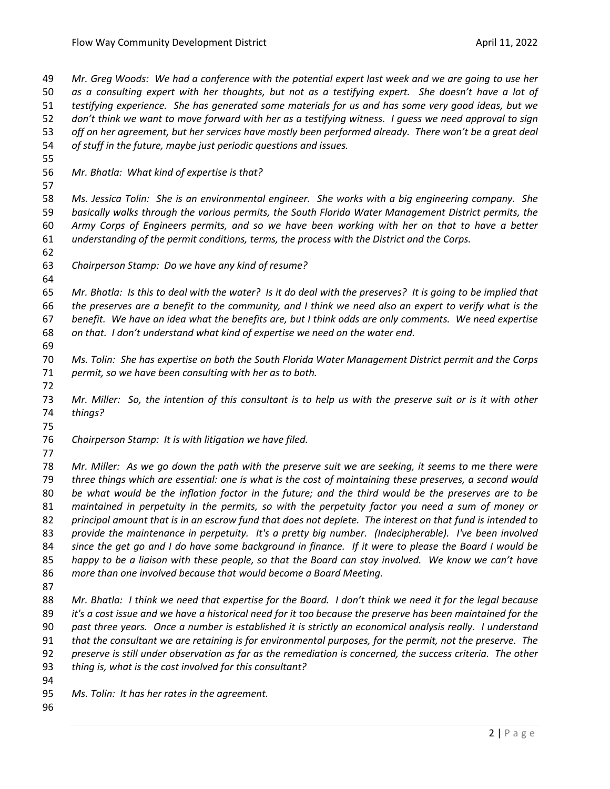*Mr. Greg Woods: We had a conference with the potential expert last week and we are going to use her as a consulting expert with her thoughts, but not as a testifying expert. She doesn't have a lot of testifying experience. She has generated some materials for us and has some very good ideas, but we don't think we want to move forward with her as a testifying witness. I guess we need approval to sign off on her agreement, but her services have mostly been performed already. There won't be a great deal of stuff in the future, maybe just periodic questions and issues. Mr. Bhatla: What kind of expertise is that? Ms. Jessica Tolin: She is an environmental engineer. She works with a big engineering company. She basically walks through the various permits, the South Florida Water Management District permits, the Army Corps of Engineers permits, and so we have been working with her on that to have a better understanding of the permit conditions, terms, the process with the District and the Corps. Chairperson Stamp: Do we have any kind of resume? Mr. Bhatla: Is this to deal with the water? Is it do deal with the preserves? It is going to be implied that the preserves are a benefit to the community, and I think we need also an expert to verify what is the benefit. We have an idea what the benefits are, but I think odds are only comments. We need expertise on that. I don't understand what kind of expertise we need on the water end. Ms. Tolin: She has expertise on both the South Florida Water Management District permit and the Corps permit, so we have been consulting with her as to both. Mr. Miller: So, the intention of this consultant is to help us with the preserve suit or is it with other things? Chairperson Stamp: It is with litigation we have filed. Mr. Miller: As we go down the path with the preserve suit we are seeking, it seems to me there were three things which are essential: one is what is the cost of maintaining these preserves, a second would be what would be the inflation factor in the future; and the third would be the preserves are to be maintained in perpetuity in the permits, so with the perpetuity factor you need a sum of money or principal amount that is in an escrow fund that does not deplete. The interest on that fund is intended to provide the maintenance in perpetuity. It's a pretty big number. (Indecipherable). I've been involved since the get go and I do have some background in finance. If it were to please the Board I would be happy to be a liaison with these people, so that the Board can stay involved. We know we can't have more than one involved because that would become a Board Meeting. Mr. Bhatla: I think we need that expertise for the Board. I don't think we need it for the legal because* 

 *it's a cost issue and we have a historical need for it too because the preserve has been maintained for the past three years. Once a number is established it is strictly an economical analysis really. I understand* 

*that the consultant we are retaining is for environmental purposes, for the permit, not the preserve. The* 

 *preserve is still under observation as far as the remediation is concerned, the success criteria. The other thing is, what is the cost involved for this consultant?* 

*Ms. Tolin: It has her rates in the agreement.*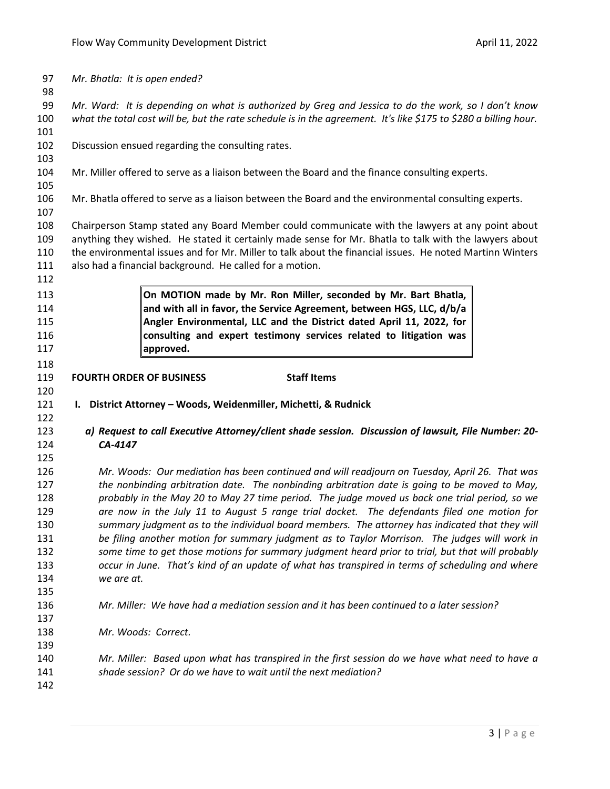| 97         | Mr. Bhatla: It is open ended?                                                                                                                                    |
|------------|------------------------------------------------------------------------------------------------------------------------------------------------------------------|
| 98         |                                                                                                                                                                  |
| 99         | Mr. Ward: It is depending on what is authorized by Greg and Jessica to do the work, so I don't know                                                              |
| 100        | what the total cost will be, but the rate schedule is in the agreement. It's like \$175 to \$280 a billing hour.                                                 |
| 101        |                                                                                                                                                                  |
| 102        | Discussion ensued regarding the consulting rates.                                                                                                                |
| 103        |                                                                                                                                                                  |
| 104<br>105 | Mr. Miller offered to serve as a liaison between the Board and the finance consulting experts.                                                                   |
| 106        | Mr. Bhatla offered to serve as a liaison between the Board and the environmental consulting experts.                                                             |
| 107        |                                                                                                                                                                  |
| 108        | Chairperson Stamp stated any Board Member could communicate with the lawyers at any point about                                                                  |
| 109        | anything they wished. He stated it certainly made sense for Mr. Bhatla to talk with the lawyers about                                                            |
| 110        | the environmental issues and for Mr. Miller to talk about the financial issues. He noted Martinn Winters                                                         |
| 111        | also had a financial background. He called for a motion.                                                                                                         |
| 112        |                                                                                                                                                                  |
| 113        | On MOTION made by Mr. Ron Miller, seconded by Mr. Bart Bhatla,                                                                                                   |
| 114        | and with all in favor, the Service Agreement, between HGS, LLC, d/b/a                                                                                            |
| 115        | Angler Environmental, LLC and the District dated April 11, 2022, for                                                                                             |
| 116        | consulting and expert testimony services related to litigation was                                                                                               |
| 117        | approved.                                                                                                                                                        |
| 118        |                                                                                                                                                                  |
| 119        | <b>Staff Items</b><br><b>FOURTH ORDER OF BUSINESS</b>                                                                                                            |
|            |                                                                                                                                                                  |
| 120        |                                                                                                                                                                  |
| 121        | I. District Attorney - Woods, Weidenmiller, Michetti, & Rudnick                                                                                                  |
| 122        |                                                                                                                                                                  |
| 123        | a) Request to call Executive Attorney/client shade session. Discussion of lawsuit, File Number: 20-                                                              |
| 124        | CA-4147                                                                                                                                                          |
| 125        |                                                                                                                                                                  |
| 126        | Mr. Woods: Our mediation has been continued and will readjourn on Tuesday, April 26. That was                                                                    |
| 127        | the nonbinding arbitration date. The nonbinding arbitration date is going to be moved to May,                                                                    |
| 128        | probably in the May 20 to May 27 time period. The judge moved us back one trial period, so we                                                                    |
| 129        | are now in the July 11 to August 5 range trial docket. The defendants filed one motion for                                                                       |
| 130        | summary judgment as to the individual board members. The attorney has indicated that they will                                                                   |
| 131        | be filing another motion for summary judgment as to Taylor Morrison. The judges will work in                                                                     |
| 132        | some time to get those motions for summary judgment heard prior to trial, but that will probably                                                                 |
| 133        | occur in June. That's kind of an update of what has transpired in terms of scheduling and where                                                                  |
| 134        | we are at.                                                                                                                                                       |
| 135        |                                                                                                                                                                  |
| 136        | Mr. Miller: We have had a mediation session and it has been continued to a later session?                                                                        |
| 137        |                                                                                                                                                                  |
| 138        | Mr. Woods: Correct.                                                                                                                                              |
| 139        |                                                                                                                                                                  |
| 140<br>141 | Mr. Miller: Based upon what has transpired in the first session do we have what need to have a<br>shade session? Or do we have to wait until the next mediation? |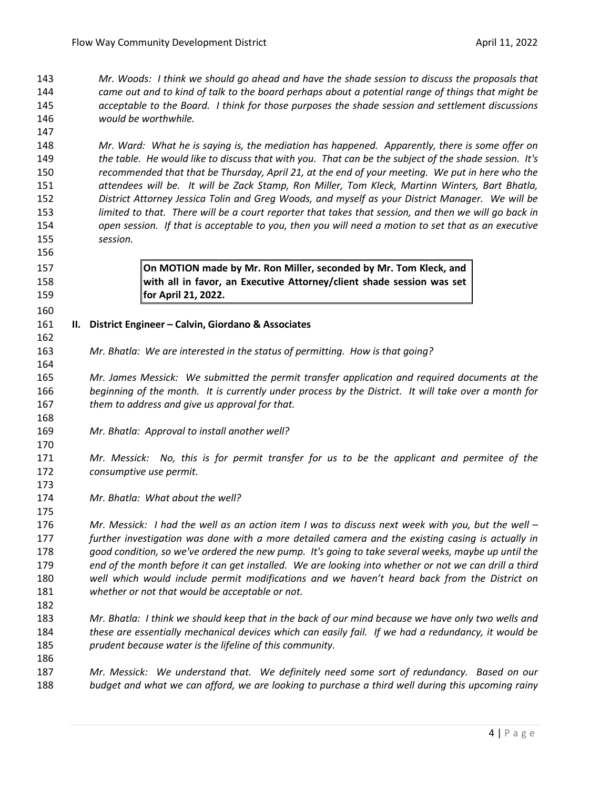*Mr. Woods: I think we should go ahead and have the shade session to discuss the proposals that came out and to kind of talk to the board perhaps about a potential range of things that might be acceptable to the Board. I think for those purposes the shade session and settlement discussions would be worthwhile.* 

 *Mr. Ward: What he is saying is, the mediation has happened. Apparently, there is some offer on the table. He would like to discuss that with you. That can be the subject of the shade session. It's recommended that that be Thursday, April 21, at the end of your meeting. We put in here who the attendees will be. It will be Zack Stamp, Ron Miller, Tom Kleck, Martinn Winters, Bart Bhatla, District Attorney Jessica Tolin and Greg Woods, and myself as your District Manager. We will be limited to that. There will be a court reporter that takes that session, and then we will go back in open session. If that is acceptable to you, then you will need a motion to set that as an executive session.* 

 **On MOTION made by Mr. Ron Miller, seconded by Mr. Tom Kleck, and with all in favor, an Executive Attorney/client shade session was set for April 21, 2022.**

## **II. District Engineer – Calvin, Giordano & Associates**

- *Mr. Bhatla: We are interested in the status of permitting. How is that going?*
- *Mr. James Messick: We submitted the permit transfer application and required documents at the beginning of the month. It is currently under process by the District. It will take over a month for them to address and give us approval for that.*
- *Mr. Bhatla: Approval to install another well?*

 *Mr. Messick: No, this is for permit transfer for us to be the applicant and permitee of the consumptive use permit.*

*Mr. Bhatla: What about the well?*

 *Mr. Messick: I had the well as an action item I was to discuss next week with you, but the well – further investigation was done with a more detailed camera and the existing casing is actually in good condition, so we've ordered the new pump. It's going to take several weeks, maybe up until the end of the month before it can get installed. We are looking into whether or not we can drill a third well which would include permit modifications and we haven't heard back from the District on whether or not that would be acceptable or not.* 

- *Mr. Bhatla: I think we should keep that in the back of our mind because we have only two wells and these are essentially mechanical devices which can easily fail. If we had a redundancy, it would be prudent because water is the lifeline of this community.*
- *Mr. Messick: We understand that. We definitely need some sort of redundancy. Based on our budget and what we can afford, we are looking to purchase a third well during this upcoming rainy*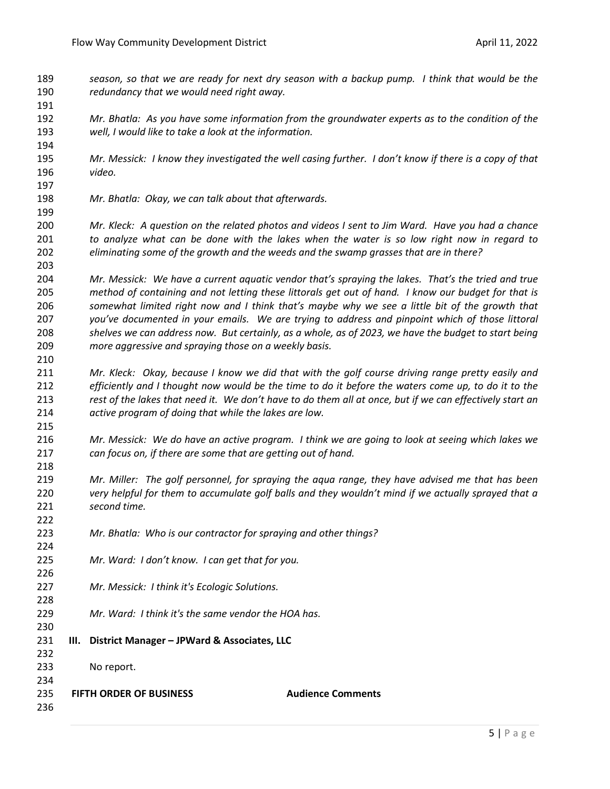- *season, so that we are ready for next dry season with a backup pump. I think that would be the redundancy that we would need right away.*
- *Mr. Bhatla: As you have some information from the groundwater experts as to the condition of the well, I would like to take a look at the information.*
- *Mr. Messick: I know they investigated the well casing further. I don't know if there is a copy of that video.*
- *Mr. Bhatla: Okay, we can talk about that afterwards.*
- *Mr. Kleck: A question on the related photos and videos I sent to Jim Ward. Have you had a chance to analyze what can be done with the lakes when the water is so low right now in regard to eliminating some of the growth and the weeds and the swamp grasses that are in there?*
- *Mr. Messick: We have a current aquatic vendor that's spraying the lakes. That's the tried and true method of containing and not letting these littorals get out of hand. I know our budget for that is somewhat limited right now and I think that's maybe why we see a little bit of the growth that you've documented in your emails. We are trying to address and pinpoint which of those littoral shelves we can address now. But certainly, as a whole, as of 2023, we have the budget to start being more aggressive and spraying those on a weekly basis.*
- *Mr. Kleck: Okay, because I know we did that with the golf course driving range pretty easily and efficiently and I thought now would be the time to do it before the waters come up, to do it to the rest of the lakes that need it. We don't have to do them all at once, but if we can effectively start an active program of doing that while the lakes are low.*
- *Mr. Messick: We do have an active program. I think we are going to look at seeing which lakes we can focus on, if there are some that are getting out of hand.*
- *Mr. Miller: The golf personnel, for spraying the aqua range, they have advised me that has been very helpful for them to accumulate golf balls and they wouldn't mind if we actually sprayed that a second time.*
- *Mr. Bhatla: Who is our contractor for spraying and other things?*
- *Mr. Ward: I don't know. I can get that for you.*
- *Mr. Messick: I think it's Ecologic Solutions.*
- *Mr. Ward: I think it's the same vendor the HOA has.*
- **III. District Manager – JPWard & Associates, LLC**
- No report.
- 

- **FIFTH ORDER OF BUSINESS Audience Comments**
-